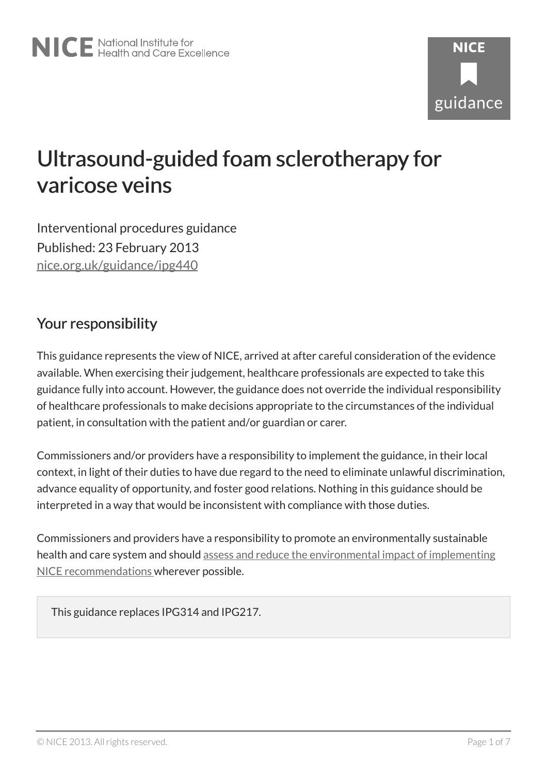# Ultrasound-guided foam sclerotherapy for varicose veins

Interventional procedures guidance Published: 23 February 2013 [nice.org.uk/guidance/ipg440](http://nice.org.uk/guidance/ipg440)

# Your responsibility

This guidance represents the view of NICE, arrived at after careful consideration of the evidence available. When exercising their judgement, healthcare professionals are expected to take this guidance fully into account. However, the guidance does not override the individual responsibility of healthcare professionals to make decisions appropriate to the circumstances of the individual patient, in consultation with the patient and/or guardian or carer.

Commissioners and/or providers have a responsibility to implement the guidance, in their local context, in light of their duties to have due regard to the need to eliminate unlawful discrimination, advance equality of opportunity, and foster good relations. Nothing in this guidance should be interpreted in a way that would be inconsistent with compliance with those duties.

Commissioners and providers have a responsibility to promote an environmentally sustainable health and care system and should [assess and reduce the environmental impact of implementing](https://www.nice.org.uk/about/who-we-are/sustainability) [NICE recommendations](https://www.nice.org.uk/about/who-we-are/sustainability) wherever possible.

This guidance replaces IPG314 and IPG217.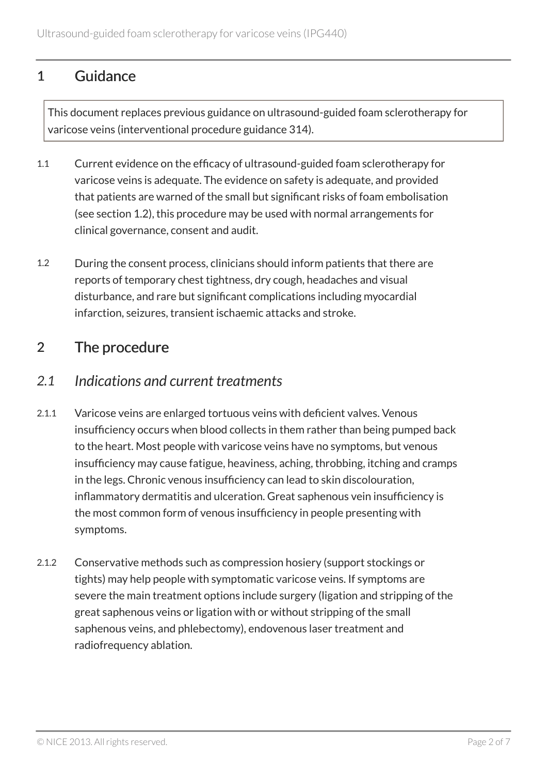# 1 Guidance

This document replaces previous guidance on ultrasound-guided foam sclerotherapy for varicose veins (interventional procedure guidance 314).

- 1.1 Current evidence on the efficacy of ultrasound-guided foam sclerotherapy for varicose veins is adequate. The evidence on safety is adequate, and provided that patients are warned of the small but significant risks of foam embolisation (see section 1.2), this procedure may be used with normal arrangements for clinical governance, consent and audit.
- 1.2 During the consent process, clinicians should inform patients that there are reports of temporary chest tightness, dry cough, headaches and visual disturbance, and rare but significant complications including myocardial infarction, seizures, transient ischaemic attacks and stroke.

# 2 The procedure

#### *2.1 Indications and current treatments*

- 2.1.1 Varicose veins are enlarged tortuous veins with deficient valves. Venous insufficiency occurs when blood collects in them rather than being pumped back to the heart. Most people with varicose veins have no symptoms, but venous insufficiency may cause fatigue, heaviness, aching, throbbing, itching and cramps in the legs. Chronic venous insufficiency can lead to skin discolouration, inflammatory dermatitis and ulceration. Great saphenous vein insufficiency is the most common form of venous insufficiency in people presenting with symptoms.
- 2.1.2 Conservative methods such as compression hosiery (support stockings or tights) may help people with symptomatic varicose veins. If symptoms are severe the main treatment options include surgery (ligation and stripping of the great saphenous veins or ligation with or without stripping of the small saphenous veins, and phlebectomy), endovenous laser treatment and radiofrequency ablation.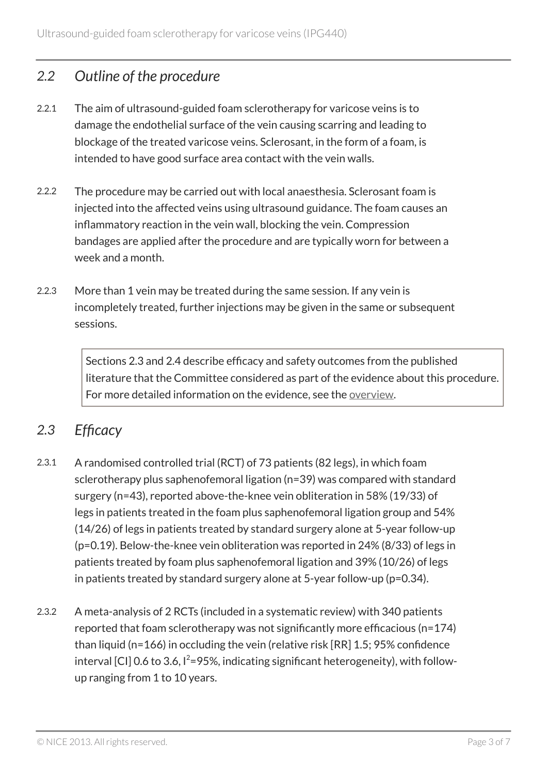#### *2.2 Outline of the procedure*

- 2.2.1 The aim of ultrasound-guided foam sclerotherapy for varicose veins is to damage the endothelial surface of the vein causing scarring and leading to blockage of the treated varicose veins. Sclerosant, in the form of a foam, is intended to have good surface area contact with the vein walls.
- 2.2.2 The procedure may be carried out with local anaesthesia. Sclerosant foam is injected into the affected veins using ultrasound guidance. The foam causes an inflammatory reaction in the vein wall, blocking the vein. Compression bandages are applied after the procedure and are typically worn for between a week and a month.
- 2.2.3 More than 1 vein may be treated during the same session. If any vein is incompletely treated, further injections may be given in the same or subsequent sessions.

Sections 2.3 and 2.4 describe efficacy and safety outcomes from the published literature that the Committee considered as part of the evidence about this procedure. For more detailed information on the evidence, see the [overview](http://www.nice.org.uk/guidance/ipg440).

### *2.3 Efficacy*

- 2.3.1 A randomised controlled trial (RCT) of 73 patients (82 legs), in which foam sclerotherapy plus saphenofemoral ligation (n=39) was compared with standard surgery (n=43), reported above-the-knee vein obliteration in 58% (19/33) of legs in patients treated in the foam plus saphenofemoral ligation group and 54% (14/26) of legs in patients treated by standard surgery alone at 5-year follow-up (p=0.19). Below-the-knee vein obliteration was reported in 24% (8/33) of legs in patients treated by foam plus saphenofemoral ligation and 39% (10/26) of legs in patients treated by standard surgery alone at 5-year follow-up (p=0.34).
- 2.3.2 A meta-analysis of 2 RCTs (included in a systematic review) with 340 patients reported that foam sclerotherapy was not significantly more efficacious (n=174) than liquid (n=166) in occluding the vein (relative risk [RR] 1.5; 95% confidence interval [CI] 0.6 to 3.6,  $I^2 = 95\%$ , indicating significant heterogeneity), with followup ranging from 1 to 10 years.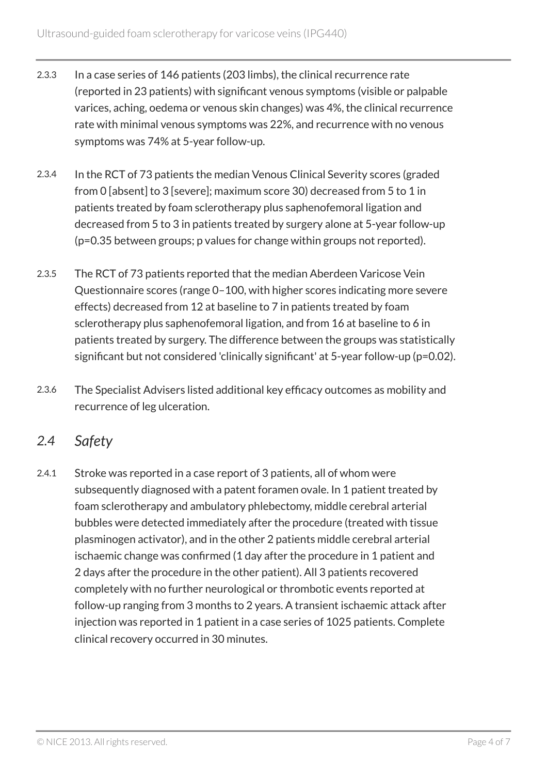- 2.3.3 In a case series of 146 patients (203 limbs), the clinical recurrence rate (reported in 23 patients) with significant venous symptoms (visible or palpable varices, aching, oedema or venous skin changes) was 4%, the clinical recurrence rate with minimal venous symptoms was 22%, and recurrence with no venous symptoms was 74% at 5-year follow-up.
- 2.3.4 In the RCT of 73 patients the median Venous Clinical Severity scores (graded from 0 [absent] to 3 [severe]; maximum score 30) decreased from 5 to 1 in patients treated by foam sclerotherapy plus saphenofemoral ligation and decreased from 5 to 3 in patients treated by surgery alone at 5-year follow-up (p=0.35 between groups; p values for change within groups not reported).
- 2.3.5 The RCT of 73 patients reported that the median Aberdeen Varicose Vein Questionnaire scores (range 0–100, with higher scores indicating more severe effects) decreased from 12 at baseline to 7 in patients treated by foam sclerotherapy plus saphenofemoral ligation, and from 16 at baseline to 6 in patients treated by surgery. The difference between the groups was statistically significant but not considered 'clinically significant' at 5-year follow-up (p=0.02).
- 2.3.6 The Specialist Advisers listed additional key efficacy outcomes as mobility and recurrence of leg ulceration.

# *2.4 Safety*

2.4.1 Stroke was reported in a case report of 3 patients, all of whom were subsequently diagnosed with a patent foramen ovale. In 1 patient treated by foam sclerotherapy and ambulatory phlebectomy, middle cerebral arterial bubbles were detected immediately after the procedure (treated with tissue plasminogen activator), and in the other 2 patients middle cerebral arterial ischaemic change was confirmed (1 day after the procedure in 1 patient and 2 days after the procedure in the other patient). All 3 patients recovered completely with no further neurological or thrombotic events reported at follow-up ranging from 3 months to 2 years. A transient ischaemic attack after injection was reported in 1 patient in a case series of 1025 patients. Complete clinical recovery occurred in 30 minutes.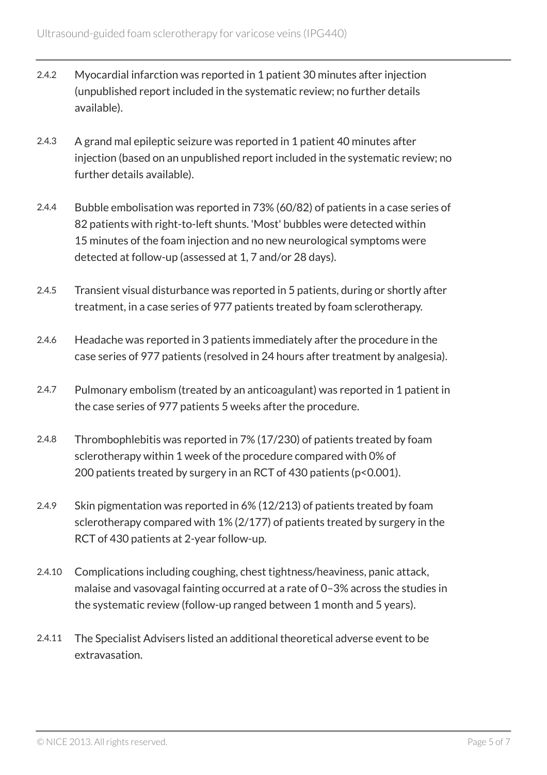- 2.4.2 Myocardial infarction was reported in 1 patient 30 minutes after injection (unpublished report included in the systematic review; no further details available).
- 2.4.3 A grand mal epileptic seizure was reported in 1 patient 40 minutes after injection (based on an unpublished report included in the systematic review; no further details available).
- 2.4.4 Bubble embolisation was reported in 73% (60/82) of patients in a case series of 82 patients with right-to-left shunts. 'Most' bubbles were detected within 15 minutes of the foam injection and no new neurological symptoms were detected at follow-up (assessed at 1, 7 and/or 28 days).
- 2.4.5 Transient visual disturbance was reported in 5 patients, during or shortly after treatment, in a case series of 977 patients treated by foam sclerotherapy.
- 2.4.6 Headache was reported in 3 patients immediately after the procedure in the case series of 977 patients (resolved in 24 hours after treatment by analgesia).
- 2.4.7 Pulmonary embolism (treated by an anticoagulant) was reported in 1 patient in the case series of 977 patients 5 weeks after the procedure.
- 2.4.8 Thrombophlebitis was reported in 7% (17/230) of patients treated by foam sclerotherapy within 1 week of the procedure compared with 0% of 200 patients treated by surgery in an RCT of 430 patients (p<0.001).
- 2.4.9 Skin pigmentation was reported in 6% (12/213) of patients treated by foam sclerotherapy compared with 1% (2/177) of patients treated by surgery in the RCT of 430 patients at 2-year follow-up.
- 2.4.10 Complications including coughing, chest tightness/heaviness, panic attack, malaise and vasovagal fainting occurred at a rate of 0–3% across the studies in the systematic review (follow-up ranged between 1 month and 5 years).
- 2.4.11 The Specialist Advisers listed an additional theoretical adverse event to be extravasation.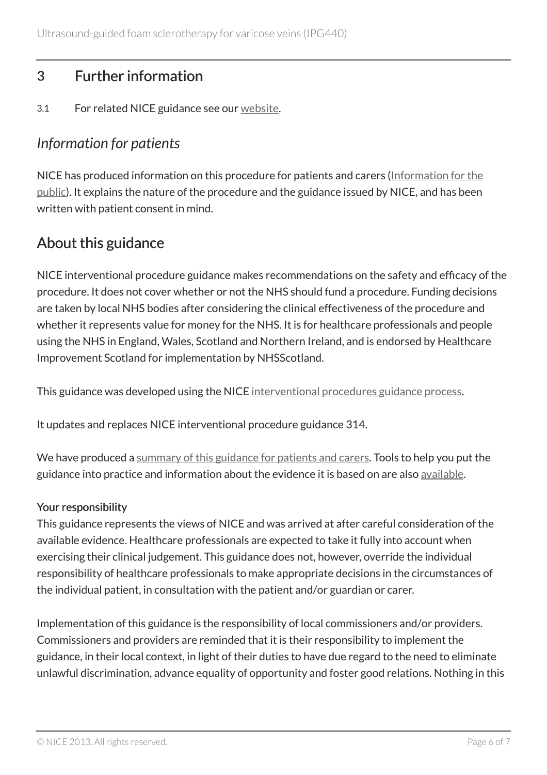# 3 Further information

3.1 For related NICE guidance see our [website](http://www.nice.org.uk/).

# *Information for patients*

NICE has produced information on this procedure for patients and carers [\(Information for the](http://www.nice.org.uk/guidance/ipg440/informationforpublic) [public\)](http://www.nice.org.uk/guidance/ipg440/informationforpublic). It explains the nature of the procedure and the guidance issued by NICE, and has been written with patient consent in mind.

# About this guidance

NICE interventional procedure guidance makes recommendations on the safety and efficacy of the procedure. It does not cover whether or not the NHS should fund a procedure. Funding decisions are taken by local NHS bodies after considering the clinical effectiveness of the procedure and whether it represents value for money for the NHS. It is for healthcare professionals and people using the NHS in England, Wales, Scotland and Northern Ireland, and is endorsed by Healthcare Improvement Scotland for implementation by NHSScotland.

This guidance was developed using the NICE [interventional procedures guidance process](http://www.nice.org.uk/about/what-we-do/our-programmes/nice-guidance/nice-interventional-procedures-guidance).

It updates and replaces NICE interventional procedure guidance 314.

We have produced a [summary of this guidance for patients and carers.](http://www.nice.org.uk/guidance/ipg440/informationforpublic) Tools to help you put the guidance into practice and information about the evidence it is based on are also [available](http://www.nice.org.uk/guidance/ipg440).

#### Your responsibility

This guidance represents the views of NICE and was arrived at after careful consideration of the available evidence. Healthcare professionals are expected to take it fully into account when exercising their clinical judgement. This guidance does not, however, override the individual responsibility of healthcare professionals to make appropriate decisions in the circumstances of the individual patient, in consultation with the patient and/or guardian or carer.

Implementation of this guidance is the responsibility of local commissioners and/or providers. Commissioners and providers are reminded that it is their responsibility to implement the guidance, in their local context, in light of their duties to have due regard to the need to eliminate unlawful discrimination, advance equality of opportunity and foster good relations. Nothing in this